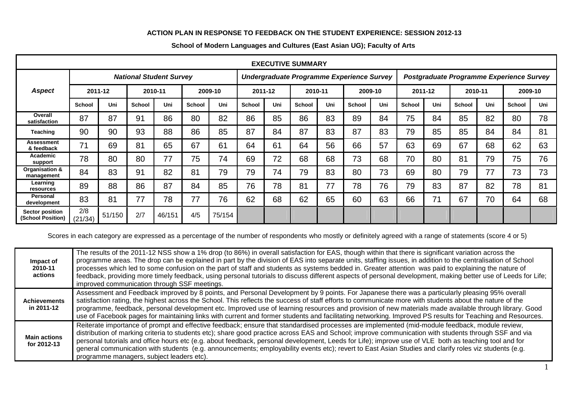## **ACTION PLAN IN RESPONSE TO FEEDBACK ON THE STUDENT EXPERIENCE: SESSION 2012-13**

| <b>EXECUTIVE SUMMARY</b>                    |                                |        |               |        |               |        |                                           |     |               |     |               |     |                                          |     |               |     |               |     |
|---------------------------------------------|--------------------------------|--------|---------------|--------|---------------|--------|-------------------------------------------|-----|---------------|-----|---------------|-----|------------------------------------------|-----|---------------|-----|---------------|-----|
|                                             | <b>National Student Survey</b> |        |               |        |               |        | Undergraduate Programme Experience Survey |     |               |     |               |     | Postgraduate Programme Experience Survey |     |               |     |               |     |
| <b>Aspect</b>                               | 2011-12                        |        | 2010-11       |        | 2009-10       |        | 2011-12                                   |     | 2010-11       |     | 2009-10       |     | 2011-12                                  |     | 2010-11       |     | 2009-10       |     |
|                                             | <b>School</b>                  | Uni    | <b>School</b> | Uni    | <b>School</b> | Uni    | <b>School</b>                             | Uni | <b>School</b> | Uni | <b>School</b> | Uni | <b>School</b>                            | Uni | <b>School</b> | Uni | <b>School</b> | Uni |
| Overall<br>satisfaction                     | 87                             | 87     | 91            | 86     | 80            | 82     | 86                                        | 85  | 86            | 83  | 89            | 84  | 75                                       | 84  | 85            | 82  | 80            | 78  |
| <b>Teaching</b>                             | 90                             | 90     | 93            | 88     | 86            | 85     | 87                                        | 84  | 87            | 83  | 87            | 83  | 79                                       | 85  | 85            | 84  | 84            | 81  |
| <b>Assessment</b><br>& feedback             | 71                             | 69     | 81            | 65     | 67            | 61     | 64                                        | 61  | 64            | 56  | 66            | 57  | 63                                       | 69  | 67            | 68  | 62            | 63  |
| Academic<br>support                         | 78                             | 80     | 80            | 77     | 75            | 74     | 69                                        | 72  | 68            | 68  | 73            | 68  | 70                                       | 80  | 81            | 79  | 75            | 76  |
| Organisation &<br>management                | 84                             | 83     | 91            | 82     | 81            | 79     | 79                                        | 74  | 79            | 83  | 80            | 73  | 69                                       | 80  | 79            | 77  | 73            | 73  |
| Learning<br>resources                       | 89                             | 88     | 86            | 87     | 84            | 85     | 76                                        | 78  | 81            | 77  | 78            | 76  | 79                                       | 83  | 87            | 82  | 78            | 81  |
| Personal<br>development                     | 83                             | 81     | 77            | 78     | 77            | 76     | 62                                        | 68  | 62            | 65  | 60            | 63  | 66                                       | 71  | 67            | 70  | 64            | 68  |
| <b>Sector position</b><br>(School Position) | 2/8<br>(21/34)                 | 51/150 | 2/7           | 46/151 | 4/5           | 75/154 |                                           |     |               |     |               |     |                                          |     |               |     |               |     |

## **School of Modern Languages and Cultures (East Asian UG); Faculty of Arts**

Scores in each category are expressed as a percentage of the number of respondents who mostly or definitely agreed with a range of statements (score 4 or 5)

| Impact of<br>2010-11<br>actions    | The results of the 2011-12 NSS show a 1% drop (to 86%) in overall satisfaction for EAS, though within that there is significant variation across the<br>programme areas. The drop can be explained in part by the division of EAS into separate units, staffing issues, in addition to the centralisation of School<br>processes which led to some confusion on the part of staff and students as systems bedded in. Greater attention was paid to explaining the nature of<br>feedback, providing more timely feedback, using personal tutorials to discuss different aspects of personal development, making better use of Leeds for Life;<br>improved communication through SSF meetings. |
|------------------------------------|----------------------------------------------------------------------------------------------------------------------------------------------------------------------------------------------------------------------------------------------------------------------------------------------------------------------------------------------------------------------------------------------------------------------------------------------------------------------------------------------------------------------------------------------------------------------------------------------------------------------------------------------------------------------------------------------|
| <b>Achievements</b><br>in 2011-12  | Assessment and Feedback improved by 8 points, and Personal Development by 9 points. For Japanese there was a particularly pleasing 95% overall<br>satisfaction rating, the highest across the School. This reflects the success of staff efforts to communicate more with students about the nature of the<br>programme, feedback, personal development etc. Improved use of learning resources and provision of new materials made available through library. Good<br>use of Facebook pages for maintaining links with current and former students and facilitating networking. Improved PS results for Teaching and Resources.                                                             |
| <b>Main actions</b><br>for 2012-13 | Reiterate importance of prompt and effective feedback; ensure that standardised processes are implemented (mid-module feedback, module review,<br>distribution of marking criteria to students etc); share good practice across EAS and School; improve communication with students through SSF and via<br>personal tutorials and office hours etc (e.g. about feedback, personal development, Leeds for Life); improve use of VLE both as teaching tool and for<br>general communication with students (e.g. announcements; employability events etc); revert to East Asian Studies and clarify roles viz students (e.g.<br>programme managers, subject leaders etc).                       |